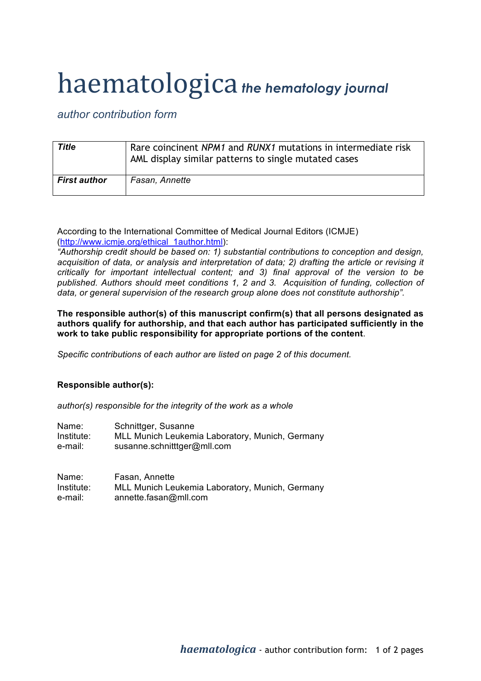## haematologica *the hematology journal*

## *author contribution form*

| Title               | Rare coincinent NPM1 and RUNX1 mutations in intermediate risk<br>AML display similar patterns to single mutated cases |
|---------------------|-----------------------------------------------------------------------------------------------------------------------|
| <b>First author</b> | Fasan, Annette                                                                                                        |

According to the International Committee of Medical Journal Editors (ICMJE) (http://www.icmje.org/ethical\_1author.html):

*"Authorship credit should be based on: 1) substantial contributions to conception and design, acquisition of data, or analysis and interpretation of data; 2) drafting the article or revising it critically for important intellectual content; and 3) final approval of the version to be published. Authors should meet conditions 1, 2 and 3. Acquisition of funding, collection of data, or general supervision of the research group alone does not constitute authorship".*

**The responsible author(s) of this manuscript confirm(s) that all persons designated as authors qualify for authorship, and that each author has participated sufficiently in the work to take public responsibility for appropriate portions of the content**.

*Specific contributions of each author are listed on page 2 of this document.*

## **Responsible author(s):**

*author(s) responsible for the integrity of the work as a whole*

| Name:      | Schnittger, Susanne                             |
|------------|-------------------------------------------------|
| Institute: | MLL Munich Leukemia Laboratory, Munich, Germany |
| e-mail:    | susanne.schnitttger@mll.com                     |

| Name:      | Fasan, Annette                                  |
|------------|-------------------------------------------------|
| Institute: | MLL Munich Leukemia Laboratory, Munich, Germany |
| e-mail:    | annette.fasan@mll.com                           |